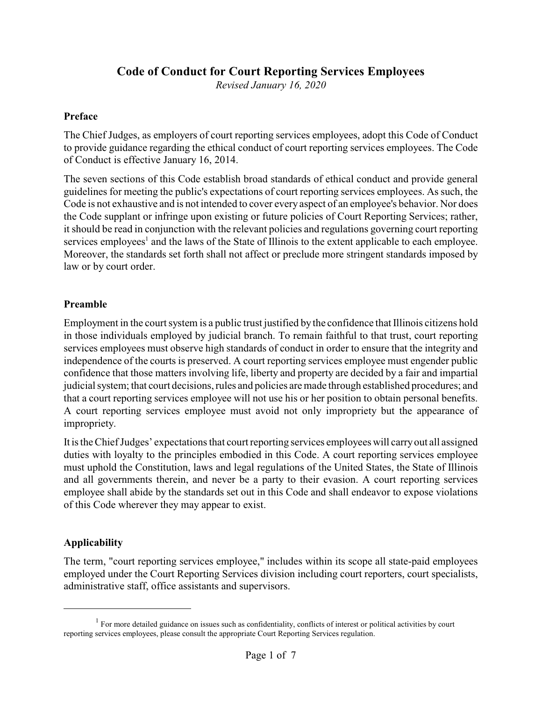# **Code of Conduct for Court Reporting Services Employees**

*Revised January 16, 2020*

#### **Preface**

The Chief Judges, as employers of court reporting services employees, adopt this Code of Conduct to provide guidance regarding the ethical conduct of court reporting services employees. The Code of Conduct is effective January 16, 2014.

The seven sections of this Code establish broad standards of ethical conduct and provide general guidelines for meeting the public's expectations of court reporting services employees. As such, the Code is not exhaustive and is not intended to cover every aspect of an employee's behavior. Nor does the Code supplant or infringe upon existing or future policies of Court Reporting Services; rather, it should be read in conjunction with the relevant policies and regulations governing court reporting services employees<sup>1</sup> and the laws of the State of Illinois to the extent applicable to each employee. Moreover, the standards set forth shall not affect or preclude more stringent standards imposed by law or by court order.

#### **Preamble**

Employment in the court system is a public trust justified by the confidence that Illinois citizens hold in those individuals employed by judicial branch. To remain faithful to that trust, court reporting services employees must observe high standards of conduct in order to ensure that the integrity and independence of the courts is preserved. A court reporting services employee must engender public confidence that those matters involving life, liberty and property are decided by a fair and impartial judicial system; that court decisions, rules and policies aremade through established procedures; and that a court reporting services employee will not use his or her position to obtain personal benefits. A court reporting services employee must avoid not only impropriety but the appearance of impropriety.

It is the Chief Judges' expectations that court reporting services employees will carry out all assigned duties with loyalty to the principles embodied in this Code. A court reporting services employee must uphold the Constitution, laws and legal regulations of the United States, the State of Illinois and all governments therein, and never be a party to their evasion. A court reporting services employee shall abide by the standards set out in this Code and shall endeavor to expose violations of this Code wherever they may appear to exist.

### **Applicability**

The term, "court reporting services employee," includes within its scope all state-paid employees employed under the Court Reporting Services division including court reporters, court specialists, administrative staff, office assistants and supervisors.

 $<sup>1</sup>$  For more detailed guidance on issues such as confidentiality, conflicts of interest or political activities by court</sup> reporting services employees, please consult the appropriate Court Reporting Services regulation.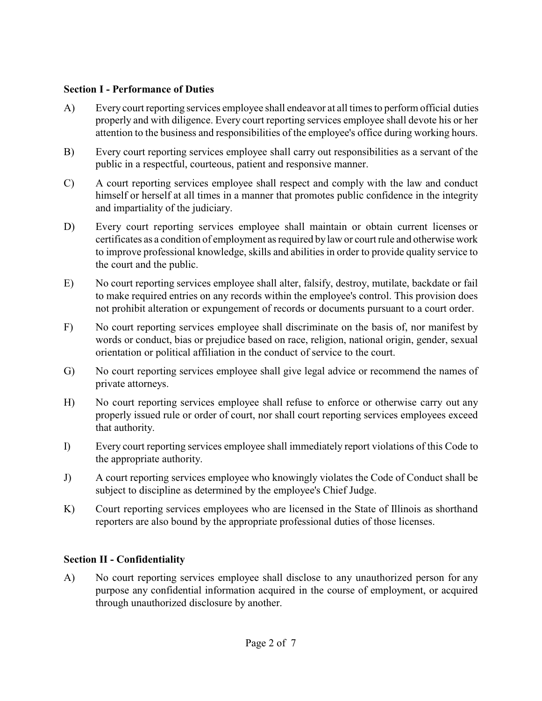### **Section I - Performance of Duties**

- A) Every court reporting services employee shall endeavor at all times to perform official duties properly and with diligence. Every court reporting services employee shall devote his or her attention to the business and responsibilities of the employee's office during working hours.
- B) Every court reporting services employee shall carry out responsibilities as a servant of the public in a respectful, courteous, patient and responsive manner.
- C) A court reporting services employee shall respect and comply with the law and conduct himself or herself at all times in a manner that promotes public confidence in the integrity and impartiality of the judiciary.
- D) Every court reporting services employee shall maintain or obtain current licenses or certificates as a condition of employment as required by law or court rule and otherwise work to improve professional knowledge, skills and abilities in order to provide quality service to the court and the public.
- E) No court reporting services employee shall alter, falsify, destroy, mutilate, backdate or fail to make required entries on any records within the employee's control. This provision does not prohibit alteration or expungement of records or documents pursuant to a court order.
- F) No court reporting services employee shall discriminate on the basis of, nor manifest by words or conduct, bias or prejudice based on race, religion, national origin, gender, sexual orientation or political affiliation in the conduct of service to the court.
- G) No court reporting services employee shall give legal advice or recommend the names of private attorneys.
- H) No court reporting services employee shall refuse to enforce or otherwise carry out any properly issued rule or order of court, nor shall court reporting services employees exceed that authority.
- I) Every court reporting services employee shall immediately report violations of this Code to the appropriate authority.
- J) A court reporting services employee who knowingly violates the Code of Conduct shall be subject to discipline as determined by the employee's Chief Judge.
- K) Court reporting services employees who are licensed in the State of Illinois as shorthand reporters are also bound by the appropriate professional duties of those licenses.

## **Section II - Confidentiality**

A) No court reporting services employee shall disclose to any unauthorized person for any purpose any confidential information acquired in the course of employment, or acquired through unauthorized disclosure by another.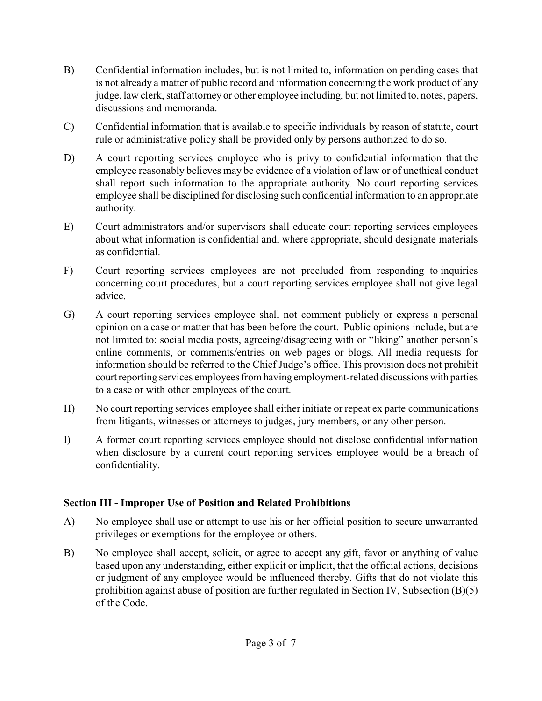- B) Confidential information includes, but is not limited to, information on pending cases that is not already a matter of public record and information concerning the work product of any judge, law clerk, staff attorney or other employee including, but not limited to, notes, papers, discussions and memoranda.
- C) Confidential information that is available to specific individuals by reason of statute, court rule or administrative policy shall be provided only by persons authorized to do so.
- D) A court reporting services employee who is privy to confidential information that the employee reasonably believes may be evidence of a violation of law or of unethical conduct shall report such information to the appropriate authority. No court reporting services employee shall be disciplined for disclosing such confidential information to an appropriate authority.
- E) Court administrators and/or supervisors shall educate court reporting services employees about what information is confidential and, where appropriate, should designate materials as confidential.
- F) Court reporting services employees are not precluded from responding to inquiries concerning court procedures, but a court reporting services employee shall not give legal advice.
- G) A court reporting services employee shall not comment publicly or express a personal opinion on a case or matter that has been before the court. Public opinions include, but are not limited to: social media posts, agreeing/disagreeing with or "liking" another person's online comments, or comments/entries on web pages or blogs. All media requests for information should be referred to the Chief Judge's office. This provision does not prohibit court reporting services employees from having employment-related discussions with parties to a case or with other employees of the court.
- H) No court reporting services employee shall either initiate or repeat ex parte communications from litigants, witnesses or attorneys to judges, jury members, or any other person.
- I) A former court reporting services employee should not disclose confidential information when disclosure by a current court reporting services employee would be a breach of confidentiality.

## **Section III - Improper Use of Position and Related Prohibitions**

- A) No employee shall use or attempt to use his or her official position to secure unwarranted privileges or exemptions for the employee or others.
- B) No employee shall accept, solicit, or agree to accept any gift, favor or anything of value based upon any understanding, either explicit or implicit, that the official actions, decisions or judgment of any employee would be influenced thereby. Gifts that do not violate this prohibition against abuse of position are further regulated in Section IV, Subsection (B)(5) of the Code.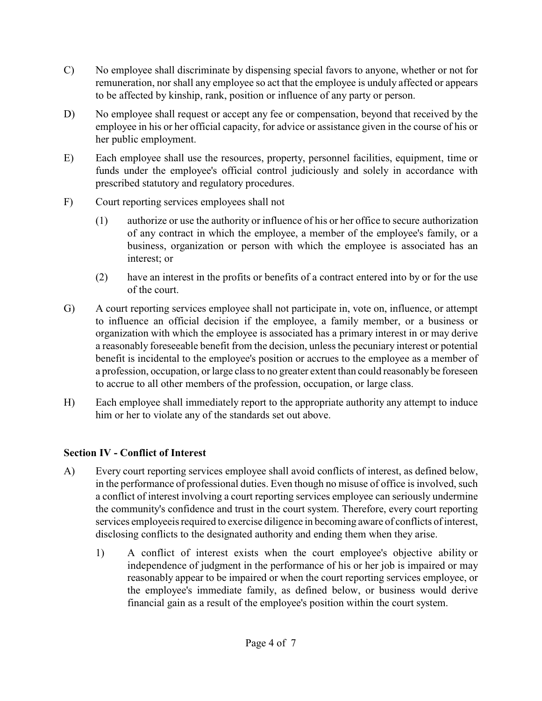- C) No employee shall discriminate by dispensing special favors to anyone, whether or not for remuneration, nor shall any employee so act that the employee is unduly affected or appears to be affected by kinship, rank, position or influence of any party or person.
- D) No employee shall request or accept any fee or compensation, beyond that received by the employee in his or her official capacity, for advice or assistance given in the course of his or her public employment.
- E) Each employee shall use the resources, property, personnel facilities, equipment, time or funds under the employee's official control judiciously and solely in accordance with prescribed statutory and regulatory procedures.
- F) Court reporting services employees shall not
	- (1) authorize or use the authority or influence of his or her office to secure authorization of any contract in which the employee, a member of the employee's family, or a business, organization or person with which the employee is associated has an interest; or
	- (2) have an interest in the profits or benefits of a contract entered into by or for the use of the court.
- G) A court reporting services employee shall not participate in, vote on, influence, or attempt to influence an official decision if the employee, a family member, or a business or organization with which the employee is associated has a primary interest in or may derive a reasonably foreseeable benefit from the decision, unless the pecuniary interest or potential benefit is incidental to the employee's position or accrues to the employee as a member of a profession, occupation, or large class to no greater extent than could reasonably be foreseen to accrue to all other members of the profession, occupation, or large class.
- H) Each employee shall immediately report to the appropriate authority any attempt to induce him or her to violate any of the standards set out above.

# **Section IV - Conflict of Interest**

- A) Every court reporting services employee shall avoid conflicts of interest, as defined below, in the performance of professional duties. Even though no misuse of office is involved, such a conflict of interest involving a court reporting services employee can seriously undermine the community's confidence and trust in the court system. Therefore, every court reporting services employeeis required to exercise diligence in becoming aware of conflicts of interest, disclosing conflicts to the designated authority and ending them when they arise.
	- 1) A conflict of interest exists when the court employee's objective ability or independence of judgment in the performance of his or her job is impaired or may reasonably appear to be impaired or when the court reporting services employee, or the employee's immediate family, as defined below, or business would derive financial gain as a result of the employee's position within the court system.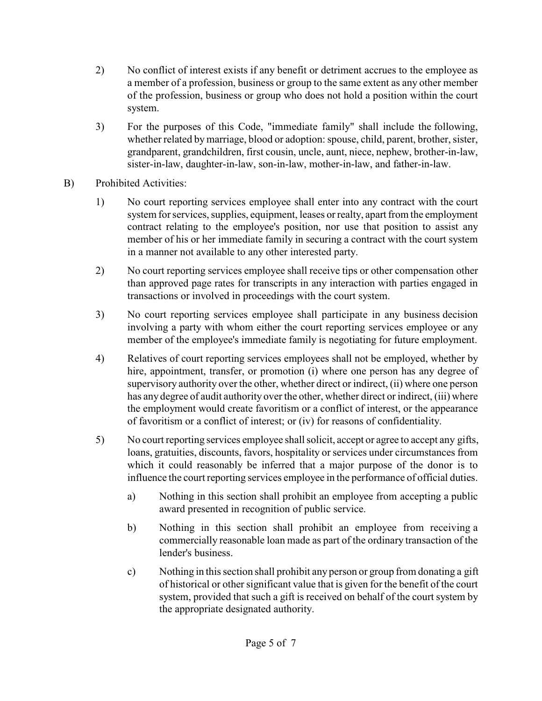- 2) No conflict of interest exists if any benefit or detriment accrues to the employee as a member of a profession, business or group to the same extent as any other member of the profession, business or group who does not hold a position within the court system.
- 3) For the purposes of this Code, "immediate family" shall include the following, whether related by marriage, blood or adoption: spouse, child, parent, brother, sister, grandparent, grandchildren, first cousin, uncle, aunt, niece, nephew, brother-in-law, sister-in-law, daughter-in-law, son-in-law, mother-in-law, and father-in-law.
- B) Prohibited Activities:
	- 1) No court reporting services employee shall enter into any contract with the court system for services, supplies, equipment, leases or realty, apart from the employment contract relating to the employee's position, nor use that position to assist any member of his or her immediate family in securing a contract with the court system in a manner not available to any other interested party.
	- 2) No court reporting services employee shall receive tips or other compensation other than approved page rates for transcripts in any interaction with parties engaged in transactions or involved in proceedings with the court system.
	- 3) No court reporting services employee shall participate in any business decision involving a party with whom either the court reporting services employee or any member of the employee's immediate family is negotiating for future employment.
	- 4) Relatives of court reporting services employees shall not be employed, whether by hire, appointment, transfer, or promotion (i) where one person has any degree of supervisory authority over the other, whether direct or indirect, (ii) where one person has any degree of audit authority over the other, whether direct or indirect, (iii) where the employment would create favoritism or a conflict of interest, or the appearance of favoritism or a conflict of interest; or (iv) for reasons of confidentiality.
	- 5) No court reporting services employee shall solicit, accept or agree to accept any gifts, loans, gratuities, discounts, favors, hospitality or services under circumstances from which it could reasonably be inferred that a major purpose of the donor is to influence the court reporting services employee in the performance of official duties.
		- a) Nothing in this section shall prohibit an employee from accepting a public award presented in recognition of public service.
		- b) Nothing in this section shall prohibit an employee from receiving a commercially reasonable loan made as part of the ordinary transaction of the lender's business.
		- c) Nothing in this section shall prohibit any person or group from donating a gift of historical or other significant value that is given for the benefit of the court system, provided that such a gift is received on behalf of the court system by the appropriate designated authority.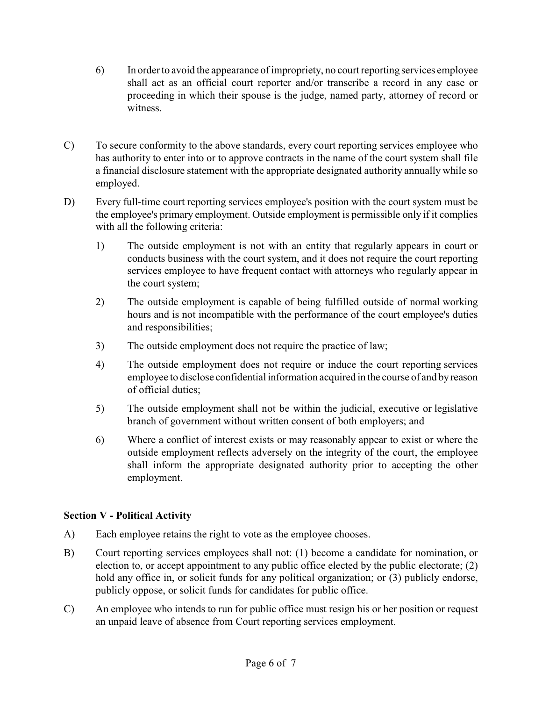- 6) In order to avoid the appearance of impropriety, no court reporting services employee shall act as an official court reporter and/or transcribe a record in any case or proceeding in which their spouse is the judge, named party, attorney of record or witness.
- C) To secure conformity to the above standards, every court reporting services employee who has authority to enter into or to approve contracts in the name of the court system shall file a financial disclosure statement with the appropriate designated authority annually while so employed.
- D) Every full-time court reporting services employee's position with the court system must be the employee's primary employment. Outside employment is permissible only if it complies with all the following criteria:
	- 1) The outside employment is not with an entity that regularly appears in court or conducts business with the court system, and it does not require the court reporting services employee to have frequent contact with attorneys who regularly appear in the court system;
	- 2) The outside employment is capable of being fulfilled outside of normal working hours and is not incompatible with the performance of the court employee's duties and responsibilities;
	- 3) The outside employment does not require the practice of law;
	- 4) The outside employment does not require or induce the court reporting services employee to disclose confidential information acquired in the course of and by reason of official duties;
	- 5) The outside employment shall not be within the judicial, executive or legislative branch of government without written consent of both employers; and
	- 6) Where a conflict of interest exists or may reasonably appear to exist or where the outside employment reflects adversely on the integrity of the court, the employee shall inform the appropriate designated authority prior to accepting the other employment.

## **Section V - Political Activity**

- A) Each employee retains the right to vote as the employee chooses.
- B) Court reporting services employees shall not: (1) become a candidate for nomination, or election to, or accept appointment to any public office elected by the public electorate; (2) hold any office in, or solicit funds for any political organization; or  $(3)$  publicly endorse, publicly oppose, or solicit funds for candidates for public office.
- C) An employee who intends to run for public office must resign his or her position or request an unpaid leave of absence from Court reporting services employment.